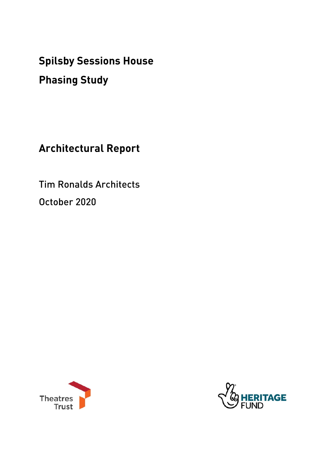**Spilsby Sessions House** 

# **Phasing Study**

**Architectural Report** 

Tim Ronalds Architects October 2020



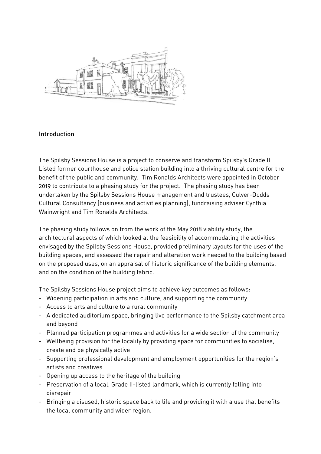

#### Introduction

The Spilsby Sessions House is a project to conserve and transform Spilsby's Grade II Listed former courthouse and police station building into a thriving cultural centre for the benefit of the public and community. Tim Ronalds Architects were appointed in October 2019 to contribute to a phasing study for the project. The phasing study has been undertaken by the Spilsby Sessions House management and trustees, Culver-Dodds Cultural Consultancy (business and activities planning), fundraising adviser Cynthia Wainwright and Tim Ronalds Architects.

The phasing study follows on from the work of the May 2018 viability study, the architectural aspects of which looked at the feasibility of accommodating the activities envisaged by the Spilsby Sessions House, provided preliminary layouts for the uses of the building spaces, and assessed the repair and alteration work needed to the building based on the proposed uses, on an appraisal of historic significance of the building elements, and on the condition of the building fabric.

The Spilsby Sessions House project aims to achieve key outcomes as follows:

- Widening participation in arts and culture, and supporting the community
- Access to arts and culture to a rural community
- A dedicated auditorium space, bringing live performance to the Spilsby catchment area and beyond
- Planned participation programmes and activities for a wide section of the community
- Wellbeing provision for the locality by providing space for communities to socialise, create and be physically active
- Supporting professional development and employment opportunities for the region's artists and creatives
- Opening up access to the heritage of the building
- Preservation of a local, Grade II-listed landmark, which is currently falling into disrepair
- Bringing a disused, historic space back to life and providing it with a use that benefits the local community and wider region.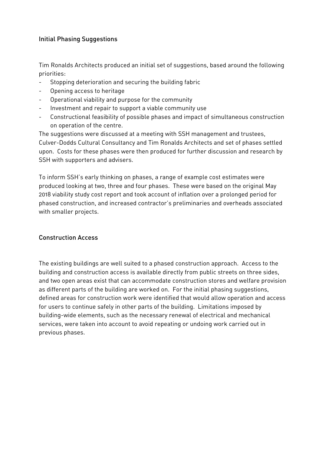#### Initial Phasing Suggestions

Tim Ronalds Architects produced an initial set of suggestions, based around the following priorities:

- Stopping deterioration and securing the building fabric
- Opening access to heritage
- Operational viability and purpose for the community
- Investment and repair to support a viable community use
- Constructional feasibility of possible phases and impact of simultaneous construction on operation of the centre.

The suggestions were discussed at a meeting with SSH management and trustees, Culver-Dodds Cultural Consultancy and Tim Ronalds Architects and set of phases settled upon. Costs for these phases were then produced for further discussion and research by SSH with supporters and advisers.

To inform SSH's early thinking on phases, a range of example cost estimates were produced looking at two, three and four phases. These were based on the original May 2018 viability study cost report and took account of inflation over a prolonged period for phased construction, and increased contractor's preliminaries and overheads associated with smaller projects.

#### Construction Access

The existing buildings are well suited to a phased construction approach. Access to the building and construction access is available directly from public streets on three sides, and two open areas exist that can accommodate construction stores and welfare provision as different parts of the building are worked on. For the initial phasing suggestions, defined areas for construction work were identified that would allow operation and access for users to continue safely in other parts of the building. Limitations imposed by building-wide elements, such as the necessary renewal of electrical and mechanical services, were taken into account to avoid repeating or undoing work carried out in previous phases.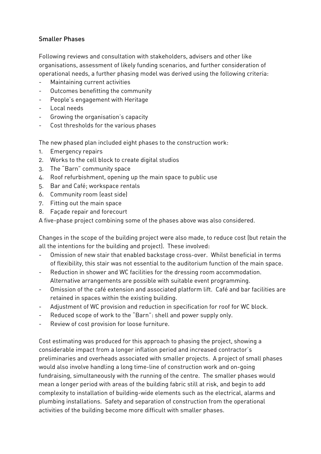#### Smaller Phases

Following reviews and consultation with stakeholders, advisers and other like organisations, assessment of likely funding scenarios, and further consideration of operational needs, a further phasing model was derived using the following criteria:

- Maintaining current activities
- Outcomes benefitting the community
- People's engagement with Heritage
- Local needs
- Growing the organisation's capacity
- Cost thresholds for the various phases

The new phased plan included eight phases to the construction work:

- 1. Emergency repairs
- 2. Works to the cell block to create digital studios
- 3. The "Barn" community space
- 4. Roof refurbishment, opening up the main space to public use
- 5. Bar and Café; workspace rentals
- 6. Community room (east side)
- 7. Fitting out the main space
- 8. Façade repair and forecourt

A five-phase project combining some of the phases above was also considered.

Changes in the scope of the building project were also made, to reduce cost (but retain the all the intentions for the building and project). These involved:

- Omission of new stair that enabled backstage cross-over. Whilst beneficial in terms of flexibility, this stair was not essential to the auditorium function of the main space.
- Reduction in shower and WC facilities for the dressing room accommodation. Alternative arrangements are possible with suitable event programming.
- Omission of the café extension and associated platform lift. Café and bar facilities are retained in spaces within the existing building.
- Adjustment of WC provision and reduction in specification for roof for WC block.
- Reduced scope of work to the "Barn": shell and power supply only.
- Review of cost provision for loose furniture.

Cost estimating was produced for this approach to phasing the project, showing a considerable impact from a longer inflation period and increased contractor's preliminaries and overheads associated with smaller projects. A project of small phases would also involve handling a long time-line of construction work and on-going fundraising, simultaneously with the running of the centre. The smaller phases would mean a longer period with areas of the building fabric still at risk, and begin to add complexity to installation of building-wide elements such as the electrical, alarms and plumbing installations. Safety and separation of construction from the operational activities of the building become more difficult with smaller phases.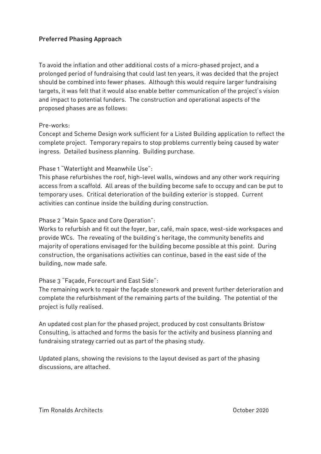#### Preferred Phasing Approach

To avoid the inflation and other additional costs of a micro-phased project, and a prolonged period of fundraising that could last ten years, it was decided that the project should be combined into fewer phases. Although this would require larger fundraising targets, it was felt that it would also enable better communication of the project's vision and impact to potential funders. The construction and operational aspects of the proposed phases are as follows:

#### Pre-works:

Concept and Scheme Design work sufficient for a Listed Building application to reflect the complete project. Temporary repairs to stop problems currently being caused by water ingress. Detailed business planning. Building purchase.

#### Phase 1 "Watertight and Meanwhile Use":

This phase refurbishes the roof, high-level walls, windows and any other work requiring access from a scaffold. All areas of the building become safe to occupy and can be put to temporary uses. Critical deterioration of the building exterior is stopped. Current activities can continue inside the building during construction.

Phase 2 "Main Space and Core Operation":

Works to refurbish and fit out the foyer, bar, café, main space, west-side workspaces and provide WCs. The revealing of the building's heritage, the community benefits and majority of operations envisaged for the building become possible at this point. During construction, the organisations activities can continue, based in the east side of the building, now made safe.

#### Phase 3 "Façade, Forecourt and East Side":

The remaining work to repair the façade stonework and prevent further deterioration and complete the refurbishment of the remaining parts of the building. The potential of the project is fully realised.

An updated cost plan for the phased project, produced by cost consultants Bristow Consulting, is attached and forms the basis for the activity and business planning and fundraising strategy carried out as part of the phasing study.

Updated plans, showing the revisions to the layout devised as part of the phasing discussions, are attached.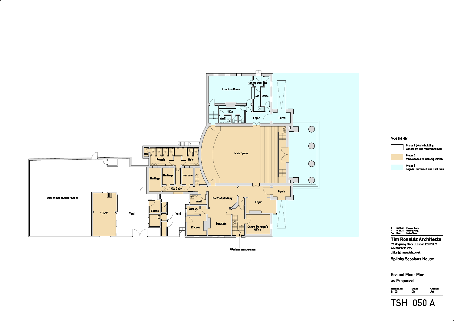

TSH 050 A

Ground Floor Plan as Proposed

Phase 3 Façade, Forecourt and East Sid

#### PHASING KEY



Phase 1 (whole building) Watertight and Meanwhile Use



Phase 2 Main Space and Core Operation

57 Kingsway Place . London EC1R 0LY tel: 020 7490 7704 office@timronalds.co.uk

1:100 OK AG Scale (at A1) Drawn Checked



#### Tim Ronalds Architects

Spilsby Sessions House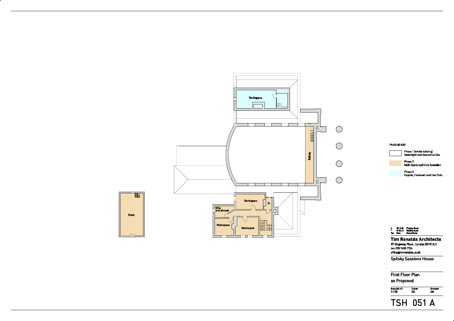

TSH 051 A

First Floor Plan as Proposed

Scale (at A1) Drawn Checked<br>1:100 OK AG

#### PHASING KEY



Phase 1 (whole building) Watertight and Meanwhile Use

Phase 2 Main Space and Core Operation

Phase 3 Façade, Forecourt and East Side





#### Tim Ronalds Architects

57 Kingsway Place . London EC1R 0LY tel: 020 7490 7704 office@ timronalds.co.uk

Spilsby Sessions House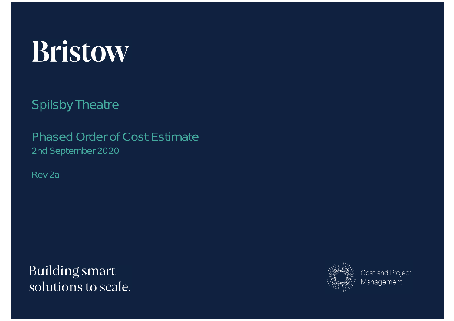# Bristow

Spilsby Theatre

Phased Order of Cost Estimate 2nd September 2020

Rev 2a

**Building smart** solutions to scale.



**Cost and Project** Management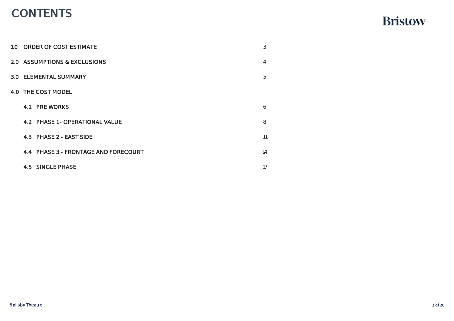# CONTENTS

| 1.0 ORDER OF COST ESTIMATE              | 3  |
|-----------------------------------------|----|
| <b>2.0 ASSUMPTIONS &amp; EXCLUSIONS</b> | 4  |
| 3.0 ELEMENTAL SUMMARY                   | 5  |
| 4.0 THE COST MODEL                      |    |
| <b>4.1 PRE WORKS</b>                    | 6  |
| 4.2 PHASE 1 - OPERATIONAL VALUE         | 8  |
| 4.3 PHASE 2 - EAST SIDE                 | 11 |
| 4.4 PHASE 3 - FRONTAGE AND FORECOURT    | 14 |
| <b>4.5 SINGLE PHASE</b>                 | 17 |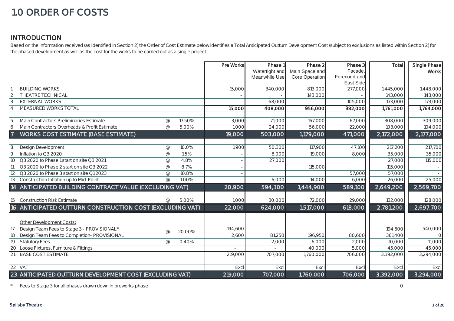## 1.0 ORDER OF COSTS

#### INTRODUCTION

Based on the information received (as Identified in Section 2) the Order of Cost Estimate below identifies a Total Anticipated Outturn Development Cost (subject to exclusions as listed within Section 2) for the phased development as well as the cost for the works to be carried out as a single project.

|                |                                                          |                |        | Pre Works | Phase 1        | Phase 2        | Phase 3       | Total         | Single Phase |
|----------------|----------------------------------------------------------|----------------|--------|-----------|----------------|----------------|---------------|---------------|--------------|
|                |                                                          |                |        |           | Watertight and | Main Space and | Facade,       |               | <b>Works</b> |
|                |                                                          |                |        |           | Meanwhile Use  | Core Operation | Forecourt and |               |              |
|                |                                                          |                |        |           |                |                | East Side     |               |              |
|                | <b>BUILDING WORKS</b>                                    |                |        | 15,000    | 340,000        | 813,000        | 277,000       | 1,445,000     | 1,448,000    |
|                | <b>THEATRE TECHNICAL</b>                                 |                |        |           |                | 143,000        |               | 143,000       | 143,000      |
| 3              | <b>EXTERNAL WORKS</b>                                    |                |        |           | 68,000         |                | 105,000       | 173,000       | 173,000      |
|                | MEASURED WORKS TOTAL                                     |                |        | 15,000    | 408,000        | 956,000        | 382,000       | 1,761,000     | 1,764,000    |
|                |                                                          |                |        |           |                |                |               |               |              |
|                | Main Contractors Preliminaries Estimate                  | $^{\circledR}$ | 17.50% | 3,000     | 71,000         | 167,000        | 67,000        | 308,000       | 309,000      |
| 6              | Main Contractors Overheads & Profit Estimate             | $\omega$       | 5.00%  | 1,000     | 24,000         | 56,000         | 22,000        | 103,000       | 104,000      |
| $\overline{7}$ | <b>WORKS COST ESTIMATE (BASE ESTIMATE)</b>               |                |        | 19,000    | 503,000        | 1,179,000      | 471,000       | 2,172,000     | 2,177,000    |
|                |                                                          |                |        |           |                |                |               |               |              |
| 8              | Design Development                                       | $^{\circ}$     | 10.0%  | 1,900     | 50,300         | 117,900        | 47,100        | 217,200       | 217,700      |
| $\mathsf{Q}$   | Inflation to Q3 2020                                     | $\circledcirc$ | 1.5%   |           | 8.000          | 19,000         | 8,000         | 35,000        | 35,000       |
| 10             | Q3 2020 to Phase 1 start on site Q3 2021                 | $\circledcirc$ | 4.8%   |           | 27,000         |                |               | <b>27,000</b> | 115,000      |
| 11             | Q3 2020 to Phase 2 start on site Q3 2022                 | $^{\circ}$     | 8.7%   |           |                | 115,000        |               | 115,00C       |              |
| 12             | Q3 2020 to Phase 3 start on site Q1 2023                 | $\circledcirc$ | 10.8%  |           |                |                | 57,000        | 57,000        |              |
| 13             | Construction Inflation up to Mid-Point                   | $\varpi$       | 1.00%  |           | 6,000          | 14,000         | 6,000         | 26,000        | 25,000       |
|                | 14 ANTICIPATED BUILDING CONTRACT VALUE (EXCLUDING VAT)   |                |        | 20,900    | 594,300        | 1,444,900      | 589,100       | 2,649,200     | 2,569,700    |
|                |                                                          |                |        |           |                |                |               |               |              |
| 15             | <b>Construction Risk Estimate</b>                        | $\omega$       | 5.00%  | 1,000     | 30,000         | 72,000         | 29,000        | 132,000       | 128,000      |
|                | 16 ANTICIPATED OUTTURN CONSTRUCTION COST (EXCLUDING VAT) |                |        | 22,000    | 624,000        | 1,517,000      | 618,000       | 2,781,200     | 2,697,700    |
|                |                                                          |                |        |           |                |                |               |               |              |
|                | Other Development Costs:                                 |                |        |           |                |                |               |               |              |
| 17             | Design Team Fees to Stage 3 - PROVISIONAL*               |                |        | 194,600   |                |                |               | 194,600       | 540,000      |
| 18             | Design Team Fees to Completion- PROVISIONAL              | $\circledR$    | 20.00% | 2,600     | 81,250         | 196,950        | 80,600        | 361,400       | $\Omega$     |
| 19             | <b>Statutory Fees</b>                                    | $\omega$       | 0.40%  |           | 2,000          | 6,000          | 2,000         | 10,000        | 11,000       |
| 20             | Loose Fixtures, Furniture & Fittings                     |                |        |           |                | 40,000         | 5,000         | 45,000        | 45,000       |
| 21             | <b>BASE COST ESTIMATE</b>                                |                |        | 219,000   | 707.000        | 1,760,000      | 706,000       | 3,392,000     | 3,294,000    |
|                |                                                          |                |        |           |                |                |               |               |              |
|                | $22$ VAT                                                 |                |        | Excl      | Excl           | Excl           | Excl          | Excl          | Excl         |
|                | 23 ANTICIPATED OUTTURN DEVELOPMENT COST (EXCLUDING VAT)  |                |        | 219,000   | 707,000        | 1,760,000      | 706,000       | 3,392,000     | 3,294,000    |

\*Fees to Stage 3 for all phases drawn down in preworks phase 0 on the stage of the stage of the stage 3 for all phases drawn down in preworks phase 0 on the stage 3 for all phases drawn down in preworks phase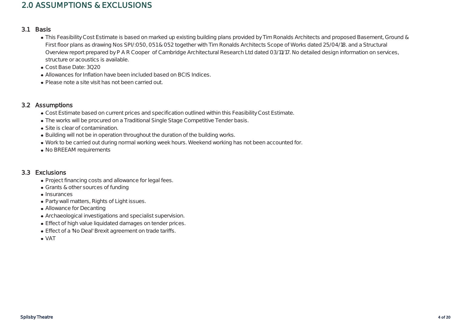#### 2.0 ASSUMPTIONS & EXCLUSIONS

#### 3.1 Basis

- This Feasibility Cost Estimate is based on marked up existing building plans provided by Tim Ronalds Architects and proposed Basement, Ground & First floor plans as drawing Nos SPI/:050, 051 & 052 together with Tim Ronalds Architects Scope of Works dated 25/04/18. and a Structural Overview report prepared by P A R Cooper of Cambridge Architectural Research Ltd dated 03/11/17. No detailed design information on services, structure or acoustics is available.
- Cost Base Date: 3Q20
- Allowances for Inflation have been included based on BCIS Indices.
- Please note a site visit has not been carried out.

#### 3.2 Assumptions

- Cost Estimate based on current prices and specification outlined within this Feasibility Cost Estimate.
- The works will be procured on a Traditional Single Stage Competitive Tender basis.
- Site is clear of contamination.
- Building will not be in operation throughout the duration of the building works.
- Work to be carried out during normal working week hours. Weekend working has not been accounted for.
- No BREEAM requirements

#### 3.3 Exclusions

- Project financing costs and allowance for legal fees.
- Grants & other sources of funding
- Insurances
- Party wall matters, Rights of Light issues.
- Allowance for Decanting
- Archaeological investigations and specialist supervision.
- Effect of high value liquidated damages on tender prices.
- Effect of a 'No Deal' Brexit agreement on trade tariffs.

VAT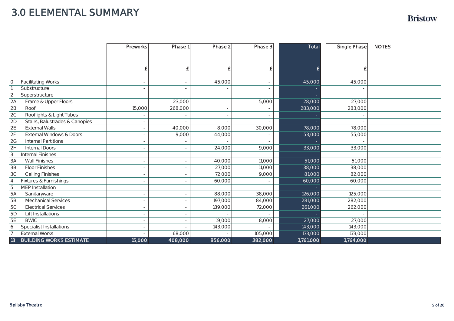## 3.0 ELEMENTAL SUMMARY

|                                              | Preworks | Phase 1 | Phase 2 | Phase 3 | <b>Total</b> | <b>Single Phase</b> | <b>NOTES</b> |
|----------------------------------------------|----------|---------|---------|---------|--------------|---------------------|--------------|
|                                              |          |         |         |         |              |                     |              |
|                                              |          |         |         |         |              |                     |              |
|                                              |          |         |         |         |              |                     |              |
|                                              |          |         |         |         |              |                     |              |
| <b>Facilitating Works</b><br>0               |          |         | 45,000  |         | 45,000       | 45,000              |              |
| Substructure                                 |          |         |         |         |              |                     |              |
| 2<br>Superstructure                          |          |         |         |         |              |                     |              |
| Frame & Upper Floors<br>2A                   |          | 23,000  |         | 5,000   | 28,000       | 27,000              |              |
| 2B<br>Roof                                   | 15,000   | 268,000 |         |         | 283,000      | 283,000             |              |
| 2C<br>Rooflights & Light Tubes               |          |         |         |         |              |                     |              |
| Stairs, Balustrades & Canopies<br>2D         |          |         |         |         |              |                     |              |
| 2E<br><b>External Walls</b>                  |          | 40,000  | 8,000   | 30,000  | 78,000       | 78,000              |              |
| 2F<br><b>External Windows &amp; Doors</b>    |          | 9,000   | 44,000  |         | 53,000       | 55,000              |              |
| 2G<br><b>Internal Partitions</b>             |          |         |         |         |              |                     |              |
| 2H<br><b>Internal Doors</b>                  |          |         | 24,000  | 9,000   | 33,000       | 33,000              |              |
| <b>Internal Finishes</b><br>3                |          |         |         |         |              |                     |              |
| 3A<br><b>Wall Finishes</b>                   |          |         | 40,000  | 11,000  | 51,000       | 51,000              |              |
| 3B<br><b>Floor Finishes</b>                  |          |         | 27,000  | 11,000  | 38,000       | 38,000              |              |
| 3C<br><b>Ceiling Finishes</b>                |          |         | 72,000  | 9,000   | 81,000       | 82,000              |              |
| Fixtures & Furnishings<br>4                  |          |         | 60,000  |         | 60,000       | 60,000              |              |
| <b>MEP</b> Installation<br>5                 |          |         |         |         |              |                     |              |
| 5A<br>Sanitaryware                           |          |         | 88,000  | 38,000  | 126,000      | 125,000             |              |
| 5 <sub>B</sub><br><b>Mechanical Services</b> |          |         | 197,000 | 84,000  | 281,000      | 282,000             |              |
| 5C<br><b>Electrical Services</b>             |          |         | 189,000 | 72,000  | 261,000      | 262,000             |              |
| Lift Installations<br>5D                     |          |         |         |         |              |                     |              |
| 5E<br><b>BWIC</b>                            |          |         | 19,000  | 8,000   | 27,000       | 27,000              |              |
| <b>Specialist Installations</b><br>6         |          |         | 143,000 |         | 143,000      | 143,000             |              |
| <b>External Works</b>                        |          | 68,000  |         | 105,000 | 173,000      | 173,000             |              |
| 13<br><b>BUILDING WORKS ESTIMATE</b>         | 15,000   | 408,000 | 956,000 | 382,000 | 1,761,000    | 1,764,000           |              |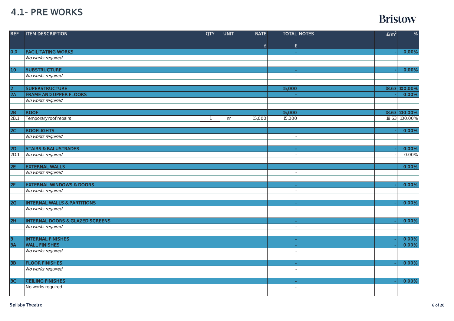#### 4.1 - PRE WORKS

| <b>REF</b>     | <b>ITEM DESCRIPTION</b>                    | <b>QTY</b>   | <b>UNIT</b> | <b>RATE</b> |                    | <b>TOTAL NOTES</b> | E/m <sup>2</sup> | %             |
|----------------|--------------------------------------------|--------------|-------------|-------------|--------------------|--------------------|------------------|---------------|
|                |                                            |              |             |             |                    |                    |                  |               |
| 0.0            | <b>FACILITATING WORKS</b>                  |              |             | £           | $\pmb{\mathsf{E}}$ |                    |                  | 0.00%         |
|                | No works required                          |              |             |             |                    |                    |                  |               |
|                |                                            |              |             |             |                    |                    |                  |               |
| 1.0            | <b>SUBSTRUCTURE</b>                        |              |             |             |                    |                    |                  | 0.00%         |
|                | No works required                          |              |             |             |                    |                    |                  |               |
|                |                                            |              |             |             |                    |                    |                  |               |
|                | <b>SUPERSTRUCTURE</b>                      |              |             |             | 15,000             |                    |                  | 18.63 100.00% |
| $\frac{2}{2A}$ | <b>FRAME AND UPPER FLOORS</b>              |              |             |             |                    |                    |                  | 0.00%         |
|                | No works required                          |              |             |             |                    |                    |                  |               |
|                |                                            |              |             |             |                    |                    |                  |               |
| 2B             | <b>ROOF</b>                                |              |             |             | 15,000             |                    |                  | 18.63 100.00% |
| 2B.1           | Temporary roof repairs                     | $\mathbf{1}$ | nr          | 15,000      | 15,000             |                    |                  | 18.63 100.00% |
|                |                                            |              |             |             |                    |                    |                  |               |
| 2C             | <b>ROOFLIGHTS</b>                          |              |             |             |                    |                    |                  | 0.00%         |
|                | No works required                          |              |             |             |                    |                    |                  |               |
|                |                                            |              |             |             |                    |                    |                  |               |
| 2D             | <b>STAIRS &amp; BALUSTRADES</b>            |              |             |             |                    |                    |                  | 0.00%         |
| 2D.1           | No works required                          |              |             |             |                    |                    |                  | 0.00%         |
|                |                                            |              |             |             |                    |                    |                  |               |
| 2E             | <b>EXTERNAL WALLS</b>                      |              |             |             |                    |                    |                  | 0.00%         |
|                | No works required                          |              |             |             |                    |                    |                  |               |
|                |                                            |              |             |             |                    |                    |                  |               |
| 2F             | <b>EXTERNAL WINDOWS &amp; DOORS</b>        |              |             |             |                    |                    |                  | 0.00%         |
|                | No works required                          |              |             |             |                    |                    |                  |               |
|                |                                            |              |             |             |                    |                    |                  |               |
| 2G             | <b>INTERNAL WALLS &amp; PARTITIONS</b>     |              |             |             |                    |                    |                  | 0.00%         |
|                | No works required                          |              |             |             |                    |                    |                  |               |
|                |                                            |              |             |             |                    |                    |                  |               |
| 2H             | <b>INTERNAL DOORS &amp; GLAZED SCREENS</b> |              |             |             |                    |                    |                  | 0.00%         |
|                | No works required                          |              |             |             |                    |                    |                  |               |
|                |                                            |              |             |             |                    |                    |                  |               |
| 3              | <b>INTERNAL FINISHES</b>                   |              |             |             |                    |                    |                  | 0.00%         |
| 3A             | <b>WALL FINISHES</b>                       |              |             |             |                    |                    |                  | 0.00%         |
|                | No works required                          |              |             |             |                    |                    |                  |               |
|                |                                            |              |             |             |                    |                    |                  |               |
| 3B             | <b>FLOOR FINISHES</b>                      |              |             |             |                    |                    |                  | 0.00%         |
|                | No works required                          |              |             |             |                    |                    |                  |               |
|                | <b>CEILING FINISHES</b>                    |              |             |             |                    |                    |                  | 0.00%         |
| 3C             | No works required                          |              |             |             |                    |                    |                  |               |
|                |                                            |              |             |             |                    |                    |                  |               |
|                |                                            |              |             |             |                    |                    |                  |               |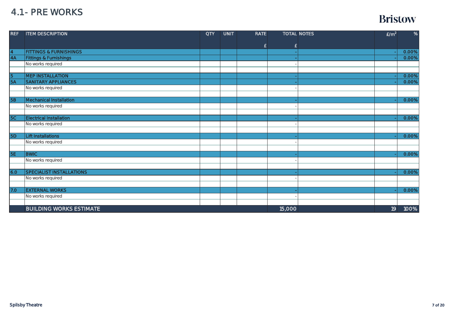#### 4.1 - PRE WORKS

| <b>REF</b>     | <b>ITEM DESCRIPTION</b>           | <b>QTY</b> | <b>UNIT</b> | <b>RATE</b> |        | <b>TOTAL NOTES</b> | E/m <sup>2</sup> | %     |
|----------------|-----------------------------------|------------|-------------|-------------|--------|--------------------|------------------|-------|
|                |                                   |            |             | £           | £      |                    |                  |       |
|                | <b>FITTINGS &amp; FURNISHINGS</b> |            |             |             |        |                    |                  | 0.00% |
| $\frac{4}{4A}$ | <b>Fittings &amp; Furnishings</b> |            |             |             |        |                    |                  | 0.00% |
|                | No works required                 |            |             |             |        |                    |                  |       |
|                |                                   |            |             |             |        |                    |                  |       |
|                | <b>MEP INSTALLATION</b>           |            |             |             |        |                    |                  | 0.00% |
| $rac{5}{5A}$   | <b>SANITARY APPLIANCES</b>        |            |             |             |        |                    |                  | 0.00% |
|                | No works required                 |            |             |             |        |                    |                  |       |
|                |                                   |            |             |             |        |                    |                  |       |
| <b>5B</b>      | Mechanical Installation           |            |             |             |        |                    |                  | 0.00% |
|                | No works required                 |            |             |             |        |                    |                  |       |
|                |                                   |            |             |             |        |                    |                  |       |
| 5C             | <b>Electrical Installation</b>    |            |             |             |        |                    |                  | 0.00% |
|                | No works required                 |            |             |             |        |                    |                  |       |
|                |                                   |            |             |             |        |                    |                  |       |
| 5D             | <b>Lift Installations</b>         |            |             |             |        |                    |                  | 0.00% |
|                | No works required                 |            |             |             |        |                    |                  |       |
|                |                                   |            |             |             |        |                    |                  |       |
| 5E             | <b>BWIC</b>                       |            |             |             |        |                    |                  | 0.00% |
|                | No works required                 |            |             |             |        |                    |                  |       |
|                |                                   |            |             |             |        |                    |                  |       |
| 6.0            | <b>SPECIALIST INSTALLATIONS</b>   |            |             |             |        |                    |                  | 0.00% |
|                | No works required                 |            |             |             |        |                    |                  |       |
|                |                                   |            |             |             |        |                    |                  |       |
| 7.0            | <b>EXTERNAL WORKS</b>             |            |             |             |        |                    |                  | 0.00% |
|                | No works required                 |            |             |             |        |                    |                  |       |
|                |                                   |            |             |             |        |                    |                  |       |
|                | <b>BUILDING WORKS ESTIMATE</b>    |            |             |             | 15,000 |                    | 19               | 100%  |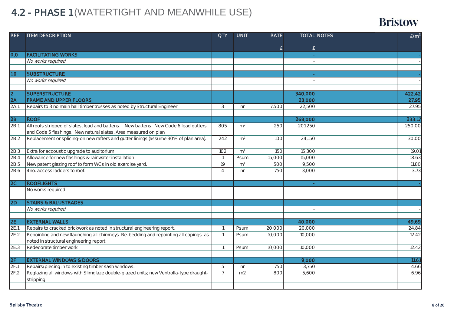## 4.2 - PHASE 1 (WATERTIGHT AND MEANWHILE USE)

| <b>REF</b>      | <b>ITEM DESCRIPTION</b>                                                               | <b>QTY</b>      | <b>UNIT</b>    | <b>RATE</b> |                  | <b>TOTAL NOTES</b> | E/m <sup>2</sup> |
|-----------------|---------------------------------------------------------------------------------------|-----------------|----------------|-------------|------------------|--------------------|------------------|
|                 |                                                                                       |                 |                |             |                  |                    |                  |
| 0.0             | <b>FACILITATING WORKS</b>                                                             |                 |                | £           | £                |                    |                  |
|                 | No works required                                                                     |                 |                |             |                  |                    |                  |
|                 |                                                                                       |                 |                |             |                  |                    |                  |
| 1.0             | <b>SUBSTRUCTURE</b>                                                                   |                 |                |             |                  |                    |                  |
|                 | No works required                                                                     |                 |                |             |                  |                    |                  |
|                 |                                                                                       |                 |                |             |                  |                    |                  |
| $\overline{2}$  | <b>SUPERSTRUCTURE</b>                                                                 |                 |                |             | 340,000          |                    | 422.42           |
| $\overline{2A}$ | <b>FRAME AND UPPER FLOORS</b>                                                         |                 |                |             | 23,000           |                    | 27.95            |
| 2A.1            | Repairs to 3 no main hall timber trusses as noted by Structural Engineer              | 3               | nr             | 7,500       | 22,500           |                    | 27.95            |
|                 |                                                                                       |                 |                |             |                  |                    |                  |
| 2B              | <b>ROOF</b>                                                                           |                 |                |             | 268,000          |                    | 333.17           |
| 2B.1            | All roofs stripped of slates, lead and battens. New battens. New Code 6 lead gutters  | 805             | m <sup>2</sup> | 250         | 201,250          |                    | 250.00           |
|                 | and Code 5 flashings. New natural slates. Area measured on plan                       |                 |                |             |                  |                    |                  |
| 2B.2            | Replacement or splicing-on new rafters and gutter linings (assume 30% of plan area).  | 242             | m <sup>2</sup> | 100         | 24,150           |                    | 30.00            |
|                 |                                                                                       |                 |                |             |                  |                    |                  |
| 2B.3            | Extra for accoustic upgrade to auditorium                                             | 102             | m <sup>2</sup> | 150         | 15,300           |                    | 19.01            |
| 2B.4            | Allowance for new flashings & rainwater installation                                  | $\overline{1}$  | Psum           | 15,000      | 15,000           |                    | 18.63            |
| 2B.5            | New patent glazing roof to form WCs in old exercise yard.                             | $\overline{19}$ | m <sup>2</sup> | 500         | 9,500            |                    | 11.80            |
| 2B.6            | 4no. access ladders to roof.                                                          | $\overline{4}$  | nr             | 750         | 3,000            |                    | 3.73             |
|                 |                                                                                       |                 |                |             |                  |                    |                  |
| 2C              | <b>ROOFLIGHTS</b>                                                                     |                 |                |             |                  |                    |                  |
|                 | No works required                                                                     |                 |                |             |                  |                    |                  |
|                 |                                                                                       |                 |                |             |                  |                    |                  |
| 2D              | <b>STAIRS &amp; BALUSTRADES</b>                                                       |                 |                |             |                  |                    |                  |
|                 | No works required                                                                     |                 |                |             |                  |                    |                  |
|                 | <b>EXTERNAL WALLS</b>                                                                 |                 |                |             |                  |                    | 49.69            |
| 2E <br>2E.1     | Repairs to cracked brickwork as noted in structural engineering report.               | $\mathbf{1}$    |                | 20,000      | 40,000<br>20,000 |                    | 24.84            |
| 2E.2            | Repointing and new flaunching all chimneys. Re-bedding and repointing all copings as  | $\mathbf{1}$    | Psum           | 10,000      | 10,000           |                    | 12.42            |
|                 | noted in structural engineering report.                                               |                 | Psum           |             |                  |                    |                  |
| 2E.3            | Redecorate timber work                                                                | $\overline{1}$  | Psum           | 10,000      | 10,000           |                    | 12.42            |
|                 |                                                                                       |                 |                |             |                  |                    |                  |
| 2F              | <b>EXTERNAL WINDOWS &amp; DOORS</b>                                                   |                 |                |             | 9,000            |                    | 11.61            |
| 2F.1            | Repairs/piecing in to existing timber sash windows.                                   | 5               | n <sub>r</sub> | 750         | 3,750            |                    | 4.66             |
| 2F.2            | Reglazing all windows with Slimglaze double-glazed units; new Ventrolla-type draught- | $\overline{7}$  | m <sub>2</sub> | 800         | 5,600            |                    | 6.96             |
|                 | stripping.                                                                            |                 |                |             |                  |                    |                  |
|                 |                                                                                       |                 |                |             |                  |                    |                  |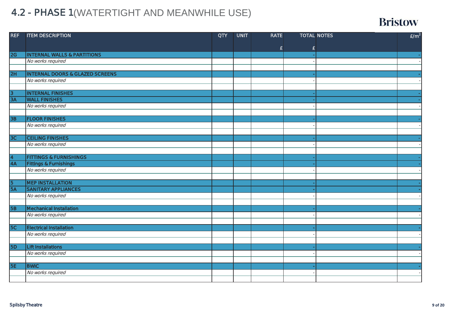## 4.2 - PHASE 1 (WATERTIGHT AND MEANWHILE USE)

| <b>REF</b>              | <b>ITEM DESCRIPTION</b>                    | <b>QTY</b> | <b>UNIT</b> | <b>RATE</b> |   | <b>TOTAL NOTES</b> | E/m <sup>2</sup> |
|-------------------------|--------------------------------------------|------------|-------------|-------------|---|--------------------|------------------|
|                         |                                            |            |             |             |   |                    |                  |
|                         |                                            |            |             | £           | £ |                    |                  |
| 2G                      | <b>INTERNAL WALLS &amp; PARTITIONS</b>     |            |             |             |   |                    |                  |
|                         | No works required                          |            |             |             |   |                    |                  |
|                         |                                            |            |             |             |   |                    |                  |
| 2H                      | <b>INTERNAL DOORS &amp; GLAZED SCREENS</b> |            |             |             |   |                    |                  |
|                         | No works required                          |            |             |             |   |                    |                  |
|                         |                                            |            |             |             |   |                    |                  |
| $\overline{3}$          | <b>INTERNAL FINISHES</b>                   |            |             |             |   |                    |                  |
| 3A                      | <b>WALL FINISHES</b>                       |            |             |             |   |                    |                  |
|                         | No works required                          |            |             |             |   |                    |                  |
|                         |                                            |            |             |             |   |                    |                  |
| 3B                      | <b>FLOOR FINISHES</b>                      |            |             |             |   |                    |                  |
|                         | No works required                          |            |             |             |   |                    |                  |
|                         |                                            |            |             |             |   |                    |                  |
| 3C                      | <b>CEILING FINISHES</b>                    |            |             |             |   |                    |                  |
|                         | No works required                          |            |             |             |   |                    |                  |
|                         |                                            |            |             |             |   |                    |                  |
| $\overline{\mathbf{4}}$ | <b>FITTINGS &amp; FURNISHINGS</b>          |            |             |             |   |                    |                  |
| $\overline{4A}$         | <b>Fittings &amp; Furnishings</b>          |            |             |             |   |                    |                  |
|                         | No works required                          |            |             |             |   |                    |                  |
|                         |                                            |            |             |             |   |                    |                  |
| $\overline{5}$          | <b>MEP INSTALLATION</b>                    |            |             |             |   |                    |                  |
| 5A                      | <b>SANITARY APPLIANCES</b>                 |            |             |             |   |                    |                  |
|                         | No works required                          |            |             |             |   |                    |                  |
|                         |                                            |            |             |             |   |                    |                  |
| <b>5B</b>               | <b>Mechanical Installation</b>             |            |             |             |   |                    |                  |
|                         | No works required                          |            |             |             |   |                    |                  |
| 5C                      | <b>Electrical Installation</b>             |            |             |             |   |                    |                  |
|                         |                                            |            |             |             |   |                    |                  |
|                         | No works required                          |            |             |             |   |                    |                  |
| <b>5D</b>               | <b>Lift Installations</b>                  |            |             |             |   |                    |                  |
|                         | No works required                          |            |             |             |   |                    |                  |
|                         |                                            |            |             |             |   |                    |                  |
| <b>5E</b>               | <b>BWIC</b>                                |            |             |             |   |                    |                  |
|                         | No works required                          |            |             |             |   |                    |                  |
|                         |                                            |            |             |             |   |                    |                  |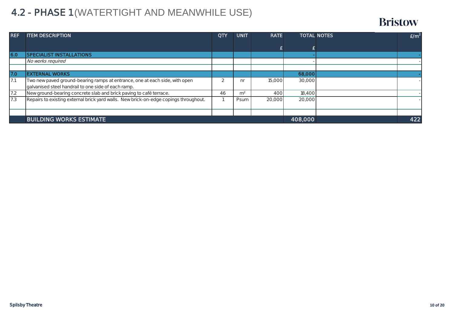## 4.2 - PHASE 1 (WATERTIGHT AND MEANWHILE USE)

| <b>REF</b> | <b>ITEM DESCRIPTION</b>                                                              | <b>QTY</b> | <b>UNIT</b>    | <b>RATE</b> |         | <b>TOTAL NOTES</b> | E/m <sup>2</sup> |
|------------|--------------------------------------------------------------------------------------|------------|----------------|-------------|---------|--------------------|------------------|
|            |                                                                                      |            |                |             |         |                    |                  |
| 6.0        | <b>SPECIALIST INSTALLATIONS</b>                                                      |            |                |             |         |                    |                  |
|            | No works required                                                                    |            |                |             |         |                    |                  |
|            |                                                                                      |            |                |             |         |                    |                  |
| <b>7.0</b> | <b>EXTERNAL WORKS</b>                                                                |            |                |             | 68,000  |                    |                  |
| 17.1       | Two new paved ground-bearing ramps at entrance, one at each side, with open          |            | nr             | 15,000      | 30,000  |                    |                  |
|            | galvanised steel handrail to one side of each ramp.                                  |            |                |             |         |                    |                  |
| 7.2        | New ground-bearing concrete slab and brick paving to café terrace.                   | 46         | m <sup>2</sup> | 400         | 18,400  |                    |                  |
| 7.3        | Repairs to existing external brick yard walls. New brick-on-edge copings throughout. |            | Psum           | 20,000      | 20,000  |                    |                  |
|            |                                                                                      |            |                |             |         |                    |                  |
|            | <b>BUILDING WORKS ESTIMATE</b>                                                       |            |                |             | 408,000 |                    | 422              |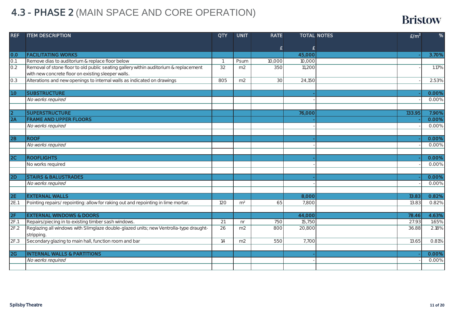## 4.3 - PHASE 2 (MAIN SPACE AND CORE OPERATION)

| <b>REF</b>                 | <b>ITEM DESCRIPTION</b>                                                               | <b>QTY</b>     | <b>UNIT</b>    | <b>RATE</b>     |        | <b>TOTAL NOTES</b> | E/m <sup>2</sup> | %     |
|----------------------------|---------------------------------------------------------------------------------------|----------------|----------------|-----------------|--------|--------------------|------------------|-------|
|                            |                                                                                       |                |                |                 |        |                    |                  |       |
|                            |                                                                                       |                |                | £               | £      |                    |                  |       |
| 0.0                        | <b>FACILITATING WORKS</b>                                                             |                |                |                 | 45,000 |                    |                  | 3.70% |
| O.1                        | Remove dias to auditorium & replace floor below                                       | $\overline{1}$ | Psum           | 10,000          | 10,000 |                    |                  |       |
| 0.2                        | Removal of stone floor to old public seating gallery within auditorium & replacement  | 32             | m2             | 350             | 11,200 |                    |                  | 1.17% |
|                            | with new concrete floor on existing sleeper walls.                                    |                |                |                 |        |                    |                  |       |
| 0.3                        | Alterations and new openings to internal walls as indicated on drawings               | 805            | m2             | $\overline{30}$ | 24,150 |                    |                  | 2.53% |
|                            |                                                                                       |                |                |                 |        |                    |                  |       |
| 1.0                        | <b>SUBSTRUCTURE</b>                                                                   |                |                |                 |        |                    |                  | 0.00% |
|                            | No works required                                                                     |                |                |                 |        |                    |                  | 0.00% |
|                            |                                                                                       |                |                |                 |        |                    |                  |       |
| $\overline{2}$             | <b>SUPERSTRUCTURE</b>                                                                 |                |                |                 | 76,000 |                    | 133.95           | 7.90% |
| 2A                         | <b>FRAME AND UPPER FLOORS</b>                                                         |                |                |                 |        |                    |                  | 0.00% |
|                            | No works required                                                                     |                |                |                 |        |                    |                  | 0.00% |
|                            |                                                                                       |                |                |                 |        |                    |                  |       |
| $\overline{2B}$            | <b>ROOF</b>                                                                           |                |                |                 |        |                    |                  | 0.00% |
|                            | No works required                                                                     |                |                |                 |        |                    |                  | 0.00% |
|                            |                                                                                       |                |                |                 |        |                    |                  |       |
| 2C                         | <b>ROOFLIGHTS</b>                                                                     |                |                |                 |        |                    |                  | 0.00% |
|                            | No works required                                                                     |                |                |                 |        |                    |                  | 0.00% |
|                            |                                                                                       |                |                |                 |        |                    |                  |       |
| $\overline{2D}$            | <b>STAIRS &amp; BALUSTRADES</b>                                                       |                |                |                 |        |                    |                  | 0.00% |
|                            | No works required                                                                     |                |                |                 |        |                    |                  | 0.00% |
|                            |                                                                                       |                |                |                 |        |                    |                  |       |
| 2E                         | <b>EXTERNAL WALLS</b>                                                                 |                |                |                 | 8,000  |                    | 13.83            | 0.82% |
| 2E.1                       | Pointing repairs/repointing: allow for raking out and repointing in lime mortar.      | 120            | m <sup>2</sup> | 65              | 7,800  |                    | 13.83            | 0.82% |
|                            |                                                                                       |                |                |                 |        |                    |                  |       |
| 2F                         | <b>EXTERNAL WINDOWS &amp; DOORS</b>                                                   |                |                |                 | 44,000 |                    | 78.46            | 4.63% |
| 2F.1                       | Repairs/piecing in to existing timber sash windows.                                   | 21             | n <sub>r</sub> | 750             | 15,750 |                    | 27.93            | 1.65% |
| 2F.2                       | Reglazing all windows with Slimglaze double-glazed units; new Ventrolla-type draught- | 26             | m <sub>2</sub> | 800             | 20,800 |                    | 36.88            | 2.18% |
|                            | stripping.                                                                            |                |                |                 |        |                    |                  |       |
| 2F.3                       | Secondary glazing to main hall, function room and bar                                 | 14             | m <sub>2</sub> | 550             | 7,700  |                    | 13.65            | 0.81% |
|                            |                                                                                       |                |                |                 |        |                    |                  |       |
| $\overline{\overline{2G}}$ | <b>INTERNAL WALLS &amp; PARTITIONS</b>                                                |                |                |                 |        |                    |                  | 0.00% |
|                            | No works required                                                                     |                |                |                 |        |                    |                  | 0.00% |
|                            |                                                                                       |                |                |                 |        |                    |                  |       |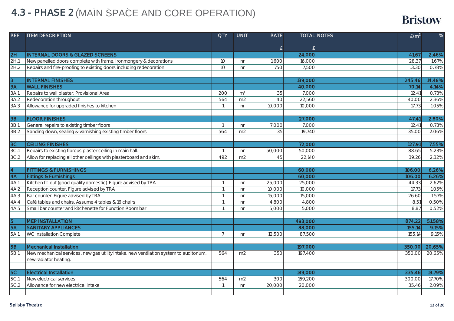## 4.3 - PHASE 2 (MAIN SPACE AND CORE OPERATION)

| <b>REF</b> | <b>ITEM DESCRIPTION</b>                                                                | <b>QTY</b>     | <b>UNIT</b>    | <b>RATE</b> |         | <b>TOTAL NOTES</b> | E/m <sup>2</sup> | %      |
|------------|----------------------------------------------------------------------------------------|----------------|----------------|-------------|---------|--------------------|------------------|--------|
|            |                                                                                        |                |                |             |         |                    |                  |        |
|            |                                                                                        |                |                | £           | £       |                    |                  |        |
| 2H         | <b>INTERNAL DOORS &amp; GLAZED SCREENS</b>                                             |                |                |             | 24,000  |                    | 41.67            | 2.46%  |
| 2H.1       | New panelled doors complete with frame, ironmongery & decorations                      | 10             | n <sub>r</sub> | 1,600       | 16,000  |                    | 28.37            | 1.67%  |
| 2H.2       | Repairs and fire-proofing to existing doors including redecoration.                    | 10             | nr             | 750         | 7,500   |                    | 13.30            | 0.78%  |
|            |                                                                                        |                |                |             |         |                    |                  |        |
| $\sqrt{3}$ | <b>INTERNAL FINISHES</b>                                                               |                |                |             | 139,000 |                    | 245.46           | 14.48% |
| 3A         | <b>WALL FINISHES</b>                                                                   |                |                |             | 40,000  |                    | 70.14            | 4.14%  |
| 3A.1       | Repairs to wall plaster. Provisional Area                                              | 200            | m <sup>2</sup> | 35          | 7,000   |                    | 12.41            | 0.73%  |
| 3A.2       | Redecoration throughout                                                                | 564            | m <sub>2</sub> | 40          | 22,560  |                    | 40.00            | 2.36%  |
| 3A.3       | Allowance for upgraded finishes to kitchen                                             | $\overline{1}$ | nr             | 10,000      | 10,000  |                    | 17.73            | 1.05%  |
|            |                                                                                        |                |                |             |         |                    |                  |        |
| 3B         | <b>FLOOR FINISHES</b>                                                                  |                |                |             | 27,000  |                    | 47.41            | 2.80%  |
| 3B.1       | General repairs to existing timber floors                                              | $\overline{1}$ | n <sub>r</sub> | 7,000       | 7,000   |                    | 12.41            | 0.73%  |
| 3B.2       | Sanding down, sealing & varnishing existing timber floors                              | 564            | m <sub>2</sub> | 35          | 19,740  |                    | 35.00            | 2.06%  |
|            |                                                                                        |                |                |             |         |                    |                  |        |
| 3C         | <b>CEILING FINISHES</b>                                                                |                |                |             | 72,000  |                    | 127.91           | 7.55%  |
| 3C.1       | Repairs to existing fibrous plaster ceiling in main hall.                              | $\overline{1}$ | nr             | 50,000      | 50,000  |                    | 88.65            | 5.23%  |
| 3C.2       | Allow for replacing all other ceilings with plasterboard and skim.                     | 492            | m <sub>2</sub> | 45          | 22,140  |                    | 39.26            | 2.32%  |
|            |                                                                                        |                |                |             |         |                    |                  |        |
| 4          | <b>FITTINGS &amp; FURNISHINGS</b>                                                      |                |                |             | 60,000  |                    | 106.00           | 6.26%  |
| 4A         | <b>Fittings &amp; Furnishings</b>                                                      |                |                |             | 60,000  |                    | 106.00           | 6.26%  |
| 4A.1       | Kitchen fit-out (good quality domestic). Figure advised by TRA                         |                | nr             | 25,000      | 25,000  |                    | 44.33            | 2.62%  |
| 4A.2       | Reception counter. Figure advised by TRA                                               |                | n <sub>r</sub> | 10,000      | 10,000  |                    | 17.73            | 1.05%  |
| 4A.3       | Bar counter. Figure advised by TRA                                                     | $\overline{1}$ | nr             | 15,000      | 15,000  |                    | 26.60            | 1.57%  |
| 4A.4       | Café tables and chairs. Assume 4 tables & 16 chairs                                    |                | n <sub>r</sub> | 4,800       | 4,800   |                    | 8.51             | 0.50%  |
| 4A.5       | Small bar counter and kitchenette for Function Room bar                                | $\overline{1}$ | nr             | 5,000       | 5,000   |                    | 8.87             | 0.52%  |
|            |                                                                                        |                |                |             |         |                    |                  |        |
| 5          | <b>MEP INSTALLATION</b>                                                                |                |                |             | 493,000 |                    | 874.22           | 51.58% |
| 5A         | <b>SANITARY APPLIANCES</b>                                                             |                |                |             | 88,000  |                    | 155.14           | 9.15%  |
| 5A.1       | <b>WC Installation Complete</b>                                                        | $\overline{7}$ | n <sub>r</sub> | 12,500      | 87,500  |                    | 155.14           | 9.15%  |
|            |                                                                                        |                |                |             |         |                    |                  |        |
| <b>5B</b>  | <b>Mechanical Installation</b>                                                         |                |                |             | 197,000 |                    | 350.00           | 20.65% |
| 5B.1       | New mechanical services, new gas utility intake, new ventilation system to auditorium, | 564            | m <sub>2</sub> | 350         | 197,400 |                    | 350.00           | 20.65% |
|            | new radiator heating.                                                                  |                |                |             |         |                    |                  |        |
|            |                                                                                        |                |                |             |         |                    |                  |        |
| <b>5C</b>  | <b>Electrical Installation</b>                                                         |                |                |             | 189,000 |                    | 335.46           | 19.79% |
| 5C.1       | New electrical services                                                                | 564            | m <sub>2</sub> | 300         | 169,200 |                    | 300.00           | 17.70% |
| 5C.2       | Allowance for new electrical intake                                                    | -1             | n <sub>r</sub> | 20,000      | 20,000  |                    | 35.46            | 2.09%  |
|            |                                                                                        |                |                |             |         |                    |                  |        |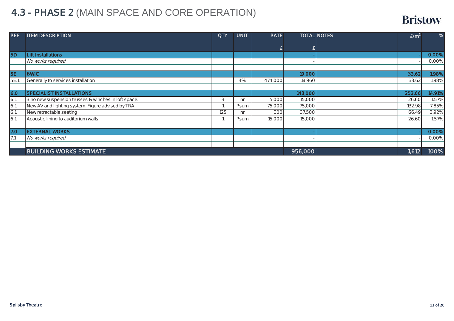## 4.3 - PHASE 2 (MAIN SPACE AND CORE OPERATION)

| <b>REF</b> | <b>ITEM DESCRIPTION</b>                              | QTY | <b>UNIT</b>    | <b>RATE</b> |         | <b>TOTAL NOTES</b> | E/m <sup>2</sup> | %      |
|------------|------------------------------------------------------|-----|----------------|-------------|---------|--------------------|------------------|--------|
|            |                                                      |     |                |             | £       |                    |                  |        |
| <b>5D</b>  | <b>Lift Installations</b>                            |     |                |             |         |                    |                  | 0.00%  |
|            | No works required                                    |     |                |             |         |                    |                  | 0.00%  |
|            |                                                      |     |                |             |         |                    |                  |        |
| <b>5E</b>  | <b>BWIC</b>                                          |     |                |             | 19,000  |                    | 33.62            | 1.98%  |
| 5E.1       | Generally to services installation                   |     | 4%             | 474,000     | 18,960  |                    | 33.62            | 1.98%  |
|            |                                                      |     |                |             |         |                    |                  |        |
| 6.0        | <b>SPECIALIST INSTALLATIONS</b>                      |     |                |             | 143,000 |                    | 252.66           | 14.91% |
| 6.1        | 3 no new suspension trusses & winches in loft space. | 3   | n <sub>r</sub> | 5,000       | 15,000  |                    | 26.60            | 1.57%  |
| 6.1        | New AV and lighting system. Figure advised by TRA    |     | Psum           | 75,000      | 75,000  |                    | 132.98           | 7.85%  |
| 6.1        | New retractable seating                              | 125 | n <sub>r</sub> | 300         | 37,500  |                    | 66.49            | 3.92%  |
| 6.1        | Acoustic lining to auditorium walls                  |     | Psum           | 15,000      | 15,000  |                    | 26.60            | 1.57%  |
|            |                                                      |     |                |             |         |                    |                  |        |
| 7.0        | <b>EXTERNAL WORKS</b>                                |     |                |             |         |                    |                  | 0.00%  |
| 7.1        | No works required                                    |     |                |             |         |                    |                  | 0.00%  |
|            |                                                      |     |                |             |         |                    |                  |        |
|            | <b>BUILDING WORKS ESTIMATE</b>                       |     |                |             | 956,000 |                    | 1,612            | 100%   |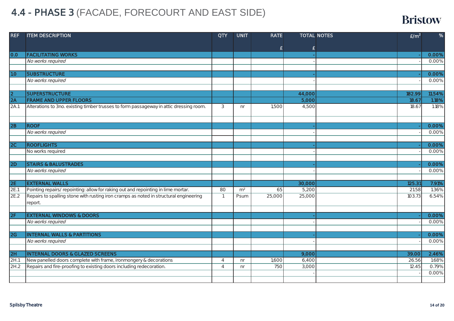## 4.4 - PHASE 3 (FACADE, FORECOURT AND EAST SIDE)

| <b>REF</b>                 | <b>ITEM DESCRIPTION</b>                                                                | <b>QTY</b>     | <b>UNIT</b>    | <b>RATE</b> |        | <b>TOTAL NOTES</b> | E/m <sup>2</sup> | $\%$   |
|----------------------------|----------------------------------------------------------------------------------------|----------------|----------------|-------------|--------|--------------------|------------------|--------|
|                            |                                                                                        |                |                |             |        |                    |                  |        |
|                            |                                                                                        |                |                | £           | £      |                    |                  |        |
| 0.0                        | <b>FACILITATING WORKS</b>                                                              |                |                |             |        |                    |                  | 0.00%  |
|                            | No works required                                                                      |                |                |             |        |                    |                  | 0.00%  |
|                            |                                                                                        |                |                |             |        |                    |                  |        |
| 1.0                        | <b>SUBSTRUCTURE</b>                                                                    |                |                |             |        |                    |                  | 0.00%  |
|                            | No works required                                                                      |                |                |             |        |                    |                  | 0.00%  |
|                            |                                                                                        |                |                |             |        |                    |                  |        |
| 2                          | <b>SUPERSTRUCTURE</b>                                                                  |                |                |             | 44,000 |                    | 182.99           | 11.54% |
| 2A                         | <b>FRAME AND UPPER FLOORS</b>                                                          |                |                |             | 5,000  |                    | 18.67            | 1.18%  |
| 2A.1                       | Alterations to 3no. existing timber trusses to form passageway in attic dressing room. | 3              | n <sub>r</sub> | 1,500       | 4,500  |                    | 18.67            | 1.18%  |
|                            |                                                                                        |                |                |             |        |                    |                  |        |
|                            |                                                                                        |                |                |             |        |                    |                  |        |
| 2B                         | <b>ROOF</b>                                                                            |                |                |             |        |                    |                  | 0.00%  |
|                            | No works required                                                                      |                |                |             |        |                    |                  | 0.00%  |
|                            |                                                                                        |                |                |             |        |                    |                  |        |
| 2C                         | <b>ROOFLIGHTS</b>                                                                      |                |                |             |        |                    |                  | 0.00%  |
|                            | No works required                                                                      |                |                |             |        |                    |                  | 0.00%  |
|                            |                                                                                        |                |                |             |        |                    |                  |        |
| $\overline{2D}$            | <b>STAIRS &amp; BALUSTRADES</b>                                                        |                |                |             |        |                    |                  | 0.00%  |
|                            | No works required                                                                      |                |                |             |        |                    |                  | 0.00%  |
|                            |                                                                                        |                |                |             |        |                    |                  |        |
| 2E                         | <b>EXTERNAL WALLS</b>                                                                  |                |                |             | 30,000 |                    | 125.31           | 7.91%  |
| 2E.1                       | Pointing repairs/repointing: allow for raking out and repointing in lime mortar.       | 80             | m <sup>2</sup> | 65          | 5,200  |                    | 21.58            | 1.36%  |
| 2E.2                       | Repairs to spalling stone with rusting iron cramps as noted in structural engineering  | $\overline{1}$ | Psum           | 25,000      | 25,000 |                    | 103.73           | 6.54%  |
|                            | report.                                                                                |                |                |             |        |                    |                  |        |
|                            |                                                                                        |                |                |             |        |                    |                  |        |
| 2F                         | <b>EXTERNAL WINDOWS &amp; DOORS</b>                                                    |                |                |             |        |                    |                  | 0.00%  |
|                            | No works required                                                                      |                |                |             |        |                    |                  | 0.00%  |
|                            |                                                                                        |                |                |             |        |                    |                  |        |
| $\overline{\overline{2G}}$ | <b>INTERNAL WALLS &amp; PARTITIONS</b>                                                 |                |                |             |        |                    |                  | 0.00%  |
|                            | No works required                                                                      |                |                |             |        |                    |                  | 0.00%  |
|                            |                                                                                        |                |                |             |        |                    |                  |        |
| 2H                         | <b>INTERNAL DOORS &amp; GLAZED SCREENS</b>                                             |                |                |             | 9,000  |                    | 39.00            | 2.46%  |
| 2H.1                       | New panelled doors complete with frame, ironmongery & decorations                      | $\overline{4}$ | n <sub>r</sub> | 1,600       | 6,400  |                    | 26.56            | 1.68%  |
| 2H.2                       | Repairs and fire-proofing to existing doors including redecoration.                    | $\overline{4}$ | nr             | 750         | 3,000  |                    | 12.45            | 0.79%  |
|                            |                                                                                        |                |                |             |        |                    |                  | 0.00%  |
|                            |                                                                                        |                |                |             |        |                    |                  |        |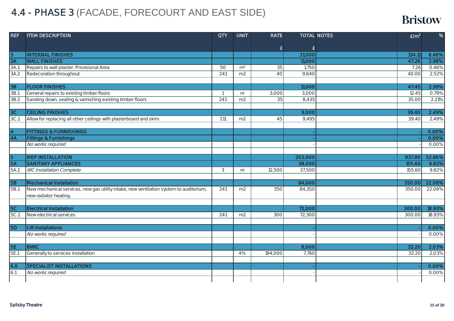## 4.4 - PHASE 3 (FACADE, FORECOURT AND EAST SIDE)

| <b>REF</b>     | <b>ITEM DESCRIPTION</b>                                                                | <b>QTY</b>       | <b>UNIT</b>    | <b>RATE</b> |         | <b>TOTAL NOTES</b><br>E/m <sup>2</sup> | %      |
|----------------|----------------------------------------------------------------------------------------|------------------|----------------|-------------|---------|----------------------------------------|--------|
|                |                                                                                        |                  |                |             |         |                                        |        |
|                |                                                                                        |                  |                | £           | £       |                                        |        |
| 13             | <b>INTERNAL FINISHES</b>                                                               |                  |                |             | 31,000  | 134.11                                 | 8.46%  |
| 3A             | <b>WALL FINISHES</b>                                                                   |                  |                |             | 11,000  | 47.26                                  | 2.98%  |
| 3A.1           | Repairs to wall plaster. Provisional Area                                              | 50               | m <sup>2</sup> | 35          | 1,750   | 7.26                                   | 0.46%  |
| 3A.2           | Redecoration throughout                                                                | 241              | m2             | 40          | 9,640   | 40.00                                  | 2.52%  |
|                |                                                                                        |                  |                |             |         |                                        |        |
| 3B             | <b>FLOOR FINISHES</b>                                                                  |                  |                |             | 11,000  | 47.45                                  | 2.99%  |
| 3B.1           | General repairs to existing timber floors                                              | $\overline{1}$   | n <sub>r</sub> | 3,000       | 3,000   | 12.45                                  | 0.79%  |
| 3B.2           | Sanding down, sealing & varnishing existing timber floors                              | $\overline{241}$ | m2             | 35          | 8,435   | 35.00                                  | 2.21%  |
|                | <b>CEILING FINISHES</b>                                                                |                  |                |             |         |                                        |        |
| 3C<br>3C.1     |                                                                                        |                  |                |             | 9,000   | 39.40<br>39.40                         | 2.49%  |
|                | Allow for replacing all other ceilings with plasterboard and skim.                     | 211              | m <sub>2</sub> | 45          | 9,495   |                                        | 2.49%  |
| $\overline{4}$ | <b>FITTINGS &amp; FURNISHINGS</b>                                                      |                  |                |             |         |                                        | 0.00%  |
| <b>4A</b>      | <b>Fittings &amp; Furnishings</b>                                                      |                  |                |             |         |                                        | 0.00%  |
|                | No works required                                                                      |                  |                |             |         |                                        | 0.00%  |
|                |                                                                                        |                  |                |             |         |                                        |        |
| $\overline{5}$ | <b>MEP INSTALLATION</b>                                                                |                  |                |             | 202,000 | 837.80                                 | 52.86% |
| <b>5A</b>      | <b>SANITARY APPLIANCES</b>                                                             |                  |                |             | 38,000  | 155.60                                 | 9.82%  |
| 5A.1           | WC Installation Complete                                                               | 3                | n <sub>r</sub> | 12,500      | 37,500  | 155.60                                 | 9.82%  |
|                |                                                                                        |                  |                |             |         |                                        |        |
| <b>5B</b>      | <b>Mechanical Installation</b>                                                         |                  |                |             | 84,000  | 350.00                                 | 22.08% |
| 5B.1           | New mechanical services, new gas utility intake, new ventilation system to auditorium, | 241              | m2             | 350         | 84,350  | 350.00                                 | 22.08% |
|                | new radiator heating.                                                                  |                  |                |             |         |                                        |        |
|                |                                                                                        |                  |                |             |         |                                        |        |
| 5C             | <b>Electrical Installation</b>                                                         |                  |                |             | 72,000  | 300.00                                 | 18.93% |
| 5C.1           | New electrical services                                                                | 241              | m2             | 300         | 72,300  | 300.00                                 | 18.93% |
|                |                                                                                        |                  |                |             |         |                                        |        |
| <b>5D</b>      | <b>Lift Installations</b>                                                              |                  |                |             |         |                                        | 0.00%  |
|                | No works required                                                                      |                  |                |             |         |                                        | 0.00%  |
|                |                                                                                        |                  |                |             |         |                                        |        |
| <b>5E</b>      | <b>BWIC</b>                                                                            |                  |                |             | 8,000   | 32.20                                  | 2.03%  |
| 5E.1           | Generally to services installation                                                     |                  | 4%             | 194,000     | 7,760   | 32.20                                  | 2.03%  |
|                |                                                                                        |                  |                |             |         |                                        |        |
| 6.0            | <b>SPECIALIST INSTALLATIONS</b>                                                        |                  |                |             |         |                                        | 0.00%  |
| 6.1            | No works required                                                                      |                  |                |             |         |                                        | 0.00%  |
|                |                                                                                        |                  |                |             |         |                                        |        |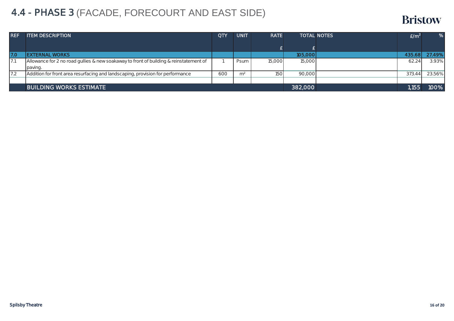## 4.4 - PHASE 3 (FACADE, FORECOURT AND EAST SIDE)

| <b>REF</b> | <b>ITEM DESCRIPTION</b>                                                                | <b>QTY</b> | <b>UNIT</b>    | <b>RATE</b> |         | <b>TOTAL NOTES</b> | E/m <sup>2</sup> | %      |
|------------|----------------------------------------------------------------------------------------|------------|----------------|-------------|---------|--------------------|------------------|--------|
|            |                                                                                        |            |                |             |         |                    |                  |        |
| 17.O       | <b>IEXTERNAL WORKS</b>                                                                 |            |                |             | 105,000 |                    | 435.68           | 27.49% |
|            | Allowance for 2 no road gullies & new soakaway to front of building & reinstatement of |            | Psum           | 15,000      | 15,000  |                    | 62.24            | 3.93%  |
|            | paving.                                                                                |            |                |             |         |                    |                  |        |
| 7.2        | Addition for front area resurfacing and landscaping, provision for performance         | 600        | m <sup>2</sup> | 150         | 90,000  |                    | 373.44           | 23.56% |
|            |                                                                                        |            |                |             |         |                    |                  |        |
|            | <b>BUILDING WORKS ESTIMATE</b>                                                         | 382,000    |                | 1,155       | 100%    |                    |                  |        |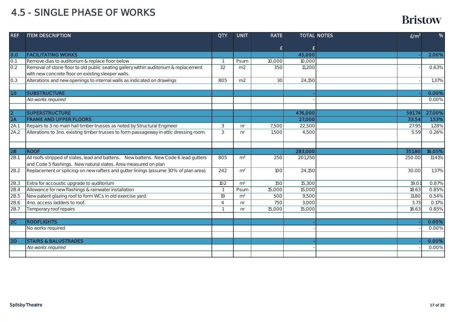| <b>REF</b>      | <b>ITEM DESCRIPTION</b>                                                                | <b>QTY</b>     | <b>UNIT</b>    | <b>RATE</b> |         | <b>TOTAL NOTES</b> | E/m <sup>2</sup> | %      |
|-----------------|----------------------------------------------------------------------------------------|----------------|----------------|-------------|---------|--------------------|------------------|--------|
|                 |                                                                                        |                |                |             |         |                    |                  |        |
|                 |                                                                                        |                |                | £           | £       |                    |                  |        |
| 0.0             | <b>FACILITATING WORKS</b>                                                              |                |                |             | 45,000  |                    |                  | 2.00%  |
| 0.1             | Remove dias to auditorium & replace floor below                                        |                | Psum           | 10,000      | 10,000  |                    |                  |        |
| 0.2             | Removal of stone floor to old public seating gallery within auditorium & replacement   | 32             | m <sub>2</sub> | 350         | 11,200  |                    |                  | 0.63%  |
|                 | with new concrete floor on existing sleeper walls.                                     |                |                |             |         |                    |                  |        |
| 0.3             | Alterations and new openings to internal walls as indicated on drawings                | 805            | m <sub>2</sub> | 30          | 24,150  |                    |                  | 1.37%  |
| 1.0             | <b>SUBSTRUCTURE</b>                                                                    |                |                |             |         |                    |                  | 0.00%  |
|                 | No works required                                                                      |                |                |             |         |                    |                  | 0.00%  |
|                 |                                                                                        |                |                |             |         |                    |                  |        |
| 2               | <b>SUPERSTRUCTURE</b>                                                                  |                |                |             | 476,000 |                    | 591.74           | 27.00% |
| $\overline{2A}$ | <b>FRAME AND UPPER FLOORS</b>                                                          |                |                |             | 27,000  |                    | 33.54            | 1.53%  |
| 2A.1            | Repairs to 3 no main hall timber trusses as noted by Structural Engineer               | 3              | nr             | 7,500       | 22,500  |                    | 27.95            | 1.28%  |
| 2A.2            | Alterations to 3no. existing timber trusses to form passageway in attic dressing room. | 3              | nr             | 1,500       | 4,500   |                    | 5.59             | 0.26%  |
|                 |                                                                                        |                |                |             |         |                    |                  |        |
|                 |                                                                                        |                |                |             |         |                    |                  |        |
| 2B              | <b>ROOF</b>                                                                            |                |                |             | 283,000 |                    | 351.80           | 16.05% |
| 2B.1            | All roofs stripped of slates, lead and battens. New battens. New Code 6 lead gutters   | 805            | m <sup>2</sup> | 250         | 201,250 |                    | 250.00           | 11.41% |
|                 | and Code 5 flashings. New natural slates. Area measured on plan                        |                |                |             |         |                    |                  |        |
| 2B.2            | Replacement or splicing-on new rafters and gutter linings (assume 30% of plan area).   | 242            | m <sup>2</sup> | 100         | 24,150  |                    | 30.00            | 1.37%  |
| 2B.3            | Extra for accoustic upgrade to auditorium                                              | 102            | m <sup>2</sup> | 150         | 15,300  |                    | 19.01            | 0.87%  |
| 2B.4            | Allowance for new flashings & rainwater installation                                   |                | Psum           | 15,000      | 15,000  |                    | 18.63            | 0.85%  |
| 2B.5            | New patent glazing roof to form WCs in old exercise yard.                              | 19             | m <sup>2</sup> | 500         | 9,500   |                    | 11.80            | 0.54%  |
| 2B.6            | 4no. access ladders to roof.                                                           | $\overline{4}$ | nr             | 750         | 3,000   |                    | 3.73             | 0.17%  |
| 2B.7            | Temporary roof repairs                                                                 |                | n <sub>r</sub> | 15,000      | 15,000  |                    | 18.63            | 0.85%  |
|                 |                                                                                        |                |                |             |         |                    |                  |        |
| 2C              | <b>ROOFLIGHTS</b>                                                                      |                |                |             |         |                    |                  | 0.00%  |
|                 | No works required                                                                      |                |                |             |         |                    |                  | 0.00%  |
|                 |                                                                                        |                |                |             |         |                    |                  |        |
| 2D              | <b>STAIRS &amp; BALUSTRADES</b>                                                        |                |                |             |         |                    |                  | 0.00%  |
|                 | No works required                                                                      |                |                |             |         |                    |                  | 0.00%  |
|                 |                                                                                        |                |                |             |         |                    |                  |        |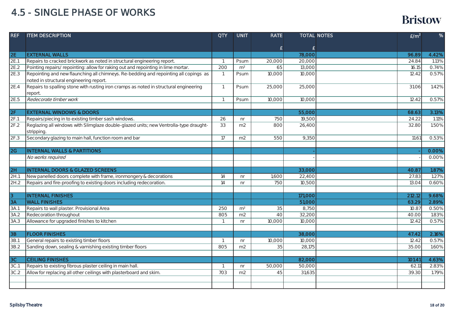| <b>REF</b>                 | <b>ITEM DESCRIPTION</b>                                                                                                         | <b>QTY</b>      | <b>UNIT</b>    | <b>RATE</b>        |         | <b>TOTAL NOTES</b> | E/m <sup>2</sup> | %     |
|----------------------------|---------------------------------------------------------------------------------------------------------------------------------|-----------------|----------------|--------------------|---------|--------------------|------------------|-------|
|                            |                                                                                                                                 |                 |                |                    |         |                    |                  |       |
|                            |                                                                                                                                 |                 |                | $\pmb{\mathsf{E}}$ | £       |                    |                  |       |
| <b>2E</b>                  | <b>EXTERNAL WALLS</b>                                                                                                           |                 |                |                    | 78,000  |                    | 96.89            | 4.42% |
| 2E.1                       | Repairs to cracked brickwork as noted in structural engineering report.                                                         |                 | Psum           | 20,000             | 20,000  |                    | 24.84            | 1.13% |
| 2E.2                       | Pointing repairs/repointing: allow for raking out and repointing in lime mortar.                                                | 200             | m <sup>2</sup> | 65                 | 13,000  |                    | 16.15            | 0.74% |
| 2E.3                       | Repointing and new flaunching all chimneys. Re-bedding and repointing all copings as<br>noted in structural engineering report. |                 | Psum           | 10,000             | 10,000  |                    | 12.42            | 0.57% |
| 2E.4                       | Repairs to spalling stone with rusting iron cramps as noted in structural engineering<br>report.                                | $\mathbf{1}$    | Psum           | 25,000             | 25,000  |                    | 31.06            | 1.42% |
| 2E.5                       | Redecorate timber work                                                                                                          |                 | Psum           | 10,000             | 10,000  |                    | 12.42            | 0.57% |
|                            |                                                                                                                                 |                 |                |                    |         |                    |                  |       |
| 2F                         | <b>EXTERNAL WINDOWS &amp; DOORS</b>                                                                                             |                 |                |                    | 55,000  |                    | 68.63            | 3.13% |
| 2F.1                       | Repairs/piecing in to existing timber sash windows.                                                                             | 26              | nr             | 750                | 19,500  |                    | 24.22            | 1.11% |
| 2F.2                       | Reglazing all windows with Slimglaze double-glazed units; new Ventrolla-type draught-<br>stripping.                             | $\overline{33}$ | m2             | 800                | 26,400  |                    | 32.80            | 1.50% |
| 2F.3                       | Secondary glazing to main hall, function room and bar                                                                           | 17              | m2             | 550                | 9,350   |                    | 11.61            | 0.53% |
|                            |                                                                                                                                 |                 |                |                    |         |                    |                  |       |
| $\overline{\overline{2G}}$ | <b>INTERNAL WALLS &amp; PARTITIONS</b>                                                                                          |                 |                |                    |         |                    |                  | 0.00% |
|                            | No works required                                                                                                               |                 |                |                    |         |                    |                  | 0.00% |
|                            |                                                                                                                                 |                 |                |                    |         |                    |                  |       |
| 2H                         | <b>INTERNAL DOORS &amp; GLAZED SCREENS</b>                                                                                      |                 |                |                    | 33,000  |                    | 40.87            | 1.87% |
| 2H.1                       | New panelled doors complete with frame, ironmongery & decorations                                                               | 14              | nr             | 1,600              | 22,400  |                    | 27.83            | 1.27% |
| 2H.2                       | Repairs and fire-proofing to existing doors including redecoration.                                                             | 14              | nr             | 750                | 10,500  |                    | 13.04            | 0.60% |
| $\overline{3}$             | <b>INTERNAL FINISHES</b>                                                                                                        |                 |                |                    | 171,000 |                    | 212.12           | 9.68% |
| 3A                         | <b>WALL FINISHES</b>                                                                                                            |                 |                |                    | 51,000  |                    | 63.29            | 2.89% |
| 3A.1                       | Repairs to wall plaster. Provisional Area                                                                                       | 250             | m <sup>2</sup> | 35                 | 8,750   |                    | 10.87            | 0.50% |
| 3A.2                       | Redecoration throughout                                                                                                         | 805             | m2             | 40                 | 32,200  |                    | 40.00            | 1.83% |
| 3A.3                       | Allowance for upgraded finishes to kitchen                                                                                      |                 | nr             | 10,000             | 10,000  |                    | 12.42            | 0.57% |
|                            |                                                                                                                                 |                 |                |                    |         |                    |                  |       |
| 3B                         | <b>FLOOR FINISHES</b>                                                                                                           |                 |                |                    | 38,000  |                    | 47.42            | 2.16% |
| 3B.1                       | General repairs to existing timber floors                                                                                       | $\overline{1}$  | nr             | 10,000             | 10,000  |                    | 12.42            | 0.57% |
| 3B.2                       | Sanding down, sealing & varnishing existing timber floors                                                                       | 805             | m2             | 35                 | 28,175  |                    | 35.00            | 1.60% |
| 3C                         | <b>CEILING FINISHES</b>                                                                                                         |                 |                |                    | 82,000  |                    | 101.41           | 4.63% |
| 3C.1                       | Repairs to existing fibrous plaster ceiling in main hall.                                                                       |                 | nr             | 50,000             | 50,000  |                    | 62.11            | 2.83% |
| 3C.2                       | Allow for replacing all other ceilings with plasterboard and skim.                                                              | 703             | m <sub>2</sub> | 45                 | 31,635  |                    | 39.30            | 1.79% |
|                            |                                                                                                                                 |                 |                |                    |         |                    |                  |       |
|                            |                                                                                                                                 |                 |                |                    |         |                    |                  |       |
|                            |                                                                                                                                 |                 |                |                    |         |                    |                  |       |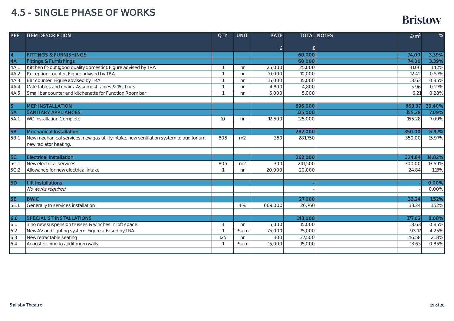| <b>REF</b> | <b>ITEM DESCRIPTION</b>                                                                | <b>QTY</b> | <b>UNIT</b>            | <b>RATE</b>     |         | <b>TOTAL NOTES</b> | E/m <sup>2</sup> | $\%$           |
|------------|----------------------------------------------------------------------------------------|------------|------------------------|-----------------|---------|--------------------|------------------|----------------|
|            |                                                                                        |            |                        |                 |         |                    |                  |                |
|            |                                                                                        |            |                        | £               | £       |                    |                  |                |
| 4          | <b>FITTINGS &amp; FURNISHINGS</b>                                                      |            |                        |                 | 60,000  |                    | 74.00            | 3.39%          |
| 4A         | <b>Fittings &amp; Furnishings</b>                                                      |            |                        |                 | 60,000  |                    | 74.00            | 3.39%          |
| 4A.1       | Kitchen fit-out (good quality domestic). Figure advised by TRA                         |            | nr                     | 25,000          | 25,000  |                    | 31.06            | 1.42%          |
| 4A.2       | Reception counter. Figure advised by TRA                                               |            | n <sub>r</sub>         | 10,000          | 10,000  |                    | 12.42            | 0.57%          |
| 4A.3       | Bar counter. Figure advised by TRA                                                     |            | nr                     | 15,000          | 15,000  |                    | 18.63            | 0.85%          |
| 4A.4       | Café tables and chairs. Assume 4 tables & 16 chairs                                    |            | n <sub>r</sub>         | 4,800           | 4,800   |                    | 5.96             | 0.27%          |
| 4A.5       | Small bar counter and kitchenette for Function Room bar                                | -1         | n <sub>r</sub>         | 5,000           | 5,000   |                    | 6.21             | 0.28%          |
|            |                                                                                        |            |                        |                 |         |                    |                  |                |
| 5          | <b>MEP INSTALLATION</b>                                                                |            |                        |                 | 696,000 |                    | 863.37           | 39.40%         |
| <b>5A</b>  | <b>SANITARY APPLIANCES</b>                                                             |            |                        |                 | 125,000 |                    | 155.28           | 7.09%          |
| 5A.1       | WC Installation Complete                                                               | 10         | n <sub>r</sub>         | 12,500          | 125,000 |                    | 155.28           | 7.09%          |
|            |                                                                                        |            |                        |                 |         |                    |                  |                |
| <b>5B</b>  | <b>Mechanical Installation</b>                                                         |            |                        |                 | 282,000 |                    | 350.00           | 15.97%         |
| 5B.1       | New mechanical services, new gas utility intake, new ventilation system to auditorium, | 805        | m2                     | 350             | 281,750 |                    | 350.00           | 15.97%         |
|            | new radiator heating.                                                                  |            |                        |                 |         |                    |                  |                |
|            |                                                                                        |            |                        |                 |         |                    |                  |                |
| 5C         | <b>Electrical Installation</b>                                                         |            |                        |                 | 262,000 |                    | 324.84           | 14.82%         |
| 5C.1       | New electrical services                                                                | 805        | m <sub>2</sub>         | 300             | 241,500 |                    | 300.00           | 13.69%         |
| 5C.2       | Allowance for new electrical intake                                                    |            | nr                     | 20,000          | 20,000  |                    | 24.84            | 1.13%          |
|            |                                                                                        |            |                        |                 |         |                    |                  |                |
| <b>5D</b>  | Lift Installations                                                                     |            |                        |                 |         |                    |                  | 0.00%          |
|            | No works required                                                                      |            |                        |                 |         |                    |                  | 0.00%          |
| <b>5E</b>  | <b>BWIC</b>                                                                            |            |                        |                 | 27,000  |                    | 33.24            | 1.52%          |
| 5E.1       |                                                                                        |            | 4%                     | 669,000         | 26,760  |                    | 33.24            | 1.52%          |
|            | Generally to services installation                                                     |            |                        |                 |         |                    |                  |                |
| 6.0        | <b>SPECIALIST INSTALLATIONS</b>                                                        |            |                        |                 | 143,000 |                    | 177.02           | 8.08%          |
| 6.1.       | 3 no new suspension trusses & winches in loft space.                                   | 3          |                        |                 | 15,000  |                    | 18.63            | 0.85%          |
| 6.2        | New AV and lighting system. Figure advised by TRA                                      |            | n <sub>r</sub><br>Psum | 5,000<br>75,000 | 75,000  |                    | 93.17            |                |
| 6.3        |                                                                                        |            |                        | 300             |         |                    |                  | 4.25%<br>2.13% |
|            | New retractable seating                                                                | 125        | n <sub>r</sub>         |                 | 37,500  |                    | 46.58            |                |
| 6.4        | Acoustic lining to auditorium walls                                                    |            | Psum                   | 15,000          | 15,000  |                    | 18.63            | 0.85%          |
|            |                                                                                        |            |                        |                 |         |                    |                  |                |